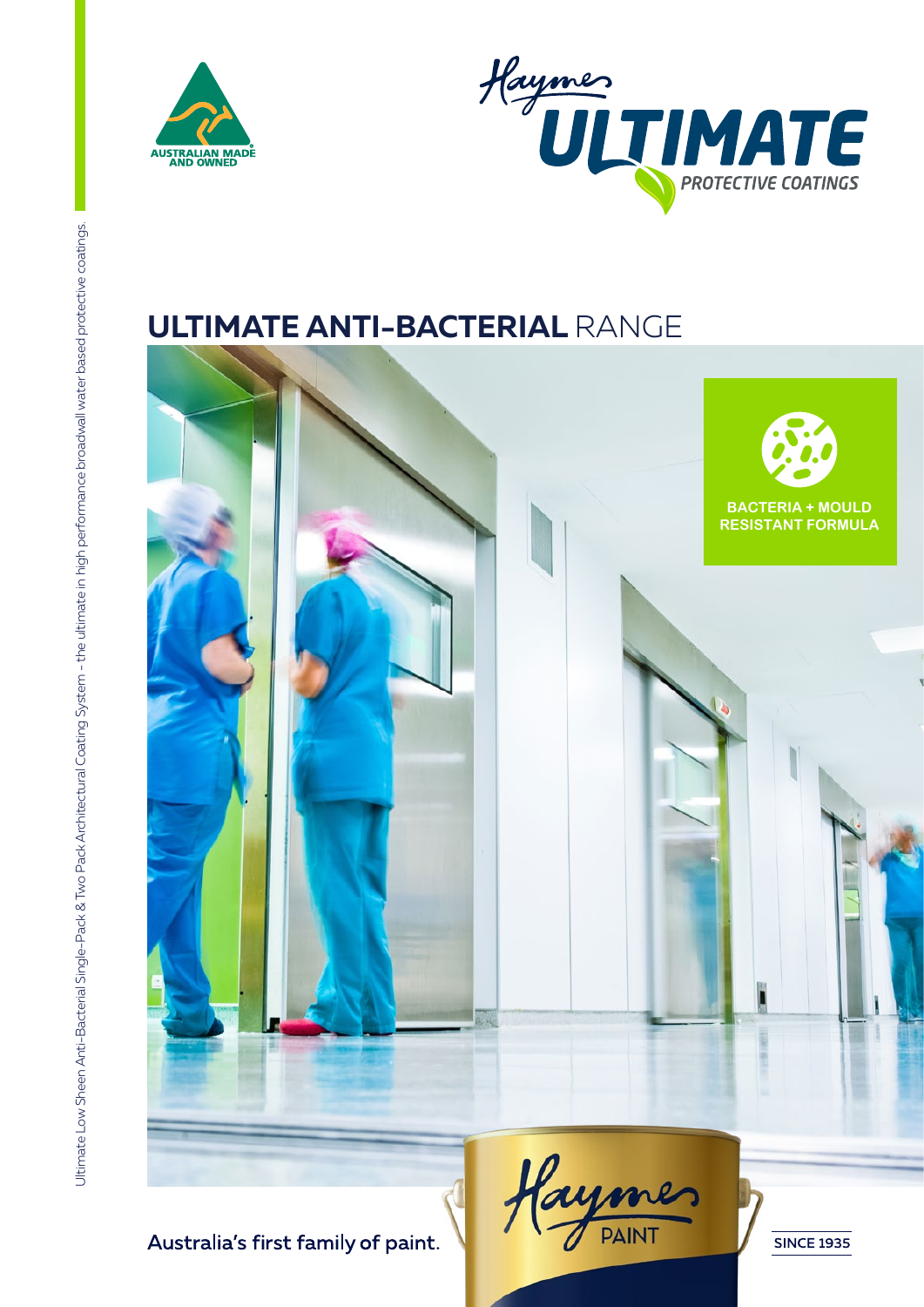



# **ULTIMATE ANTI-BACTERIAL** RANGE

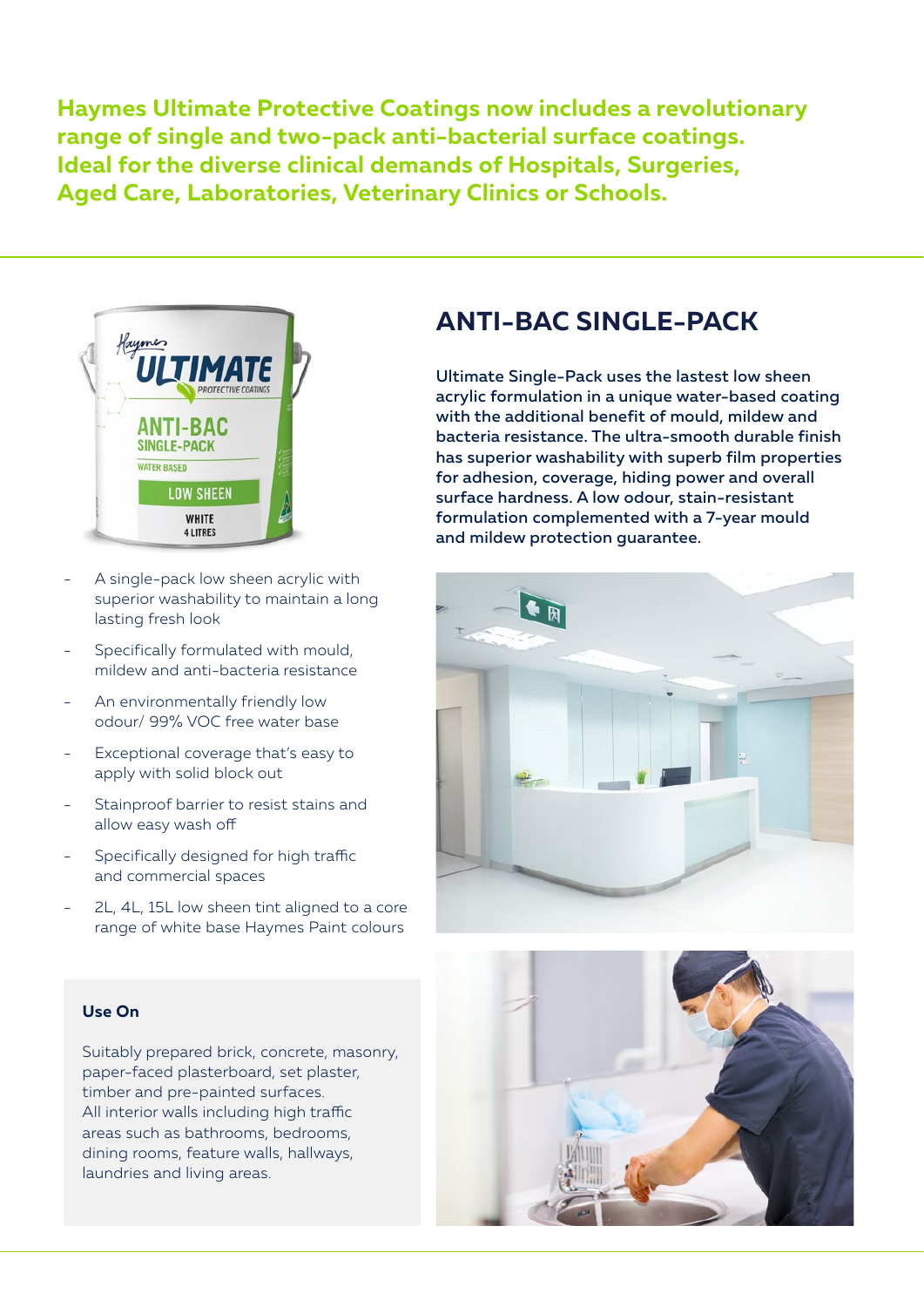**Haymes Ultimate Protective Coatings now includes a revolutionary range of single and two-pack anti-bacterial surface coatings. Ideal for the diverse clinical demands of Hospitals, Surgeries, Aged Care, Laboratories, Veterinary Clinics or Schools.**



- A single-pack low sheen acrylic with superior washability to maintain a long lasting fresh look
- Specifically formulated with mould, mildew and anti-bacteria resistance
- An environmentally friendly low odour/ 99% VOC free water base
- Exceptional coverage that's easy to apply with solid block out
- Stainproof barrier to resist stains and allow easy wash off
- Specifically designed for high traffic and commercial spaces
- 2L, 4L, 15L low sheen tint aligned to a core range of white base Haymes Paint colours

### **Use On**

Suitably prepared brick, concrete, masonry, paper-faced plasterboard, set plaster, timber and pre-painted surfaces. All interior walls including high traffic areas such as bathrooms, bedrooms, dining rooms, feature walls, hallways, laundries and living areas.

### **ANTI-BAC SINGLE-PACK**

Ultimate Single-Pack uses the lastest low sheen acrylic formulation in a unique water-based coating with the additional benefit of mould, mildew and bacteria resistance. The ultra-smooth durable finish has superior washability with superb film properties for adhesion, coverage, hiding power and overall surface hardness. A low odour, stain-resistant formulation complemented with a 7-year mould and mildew protection guarantee.



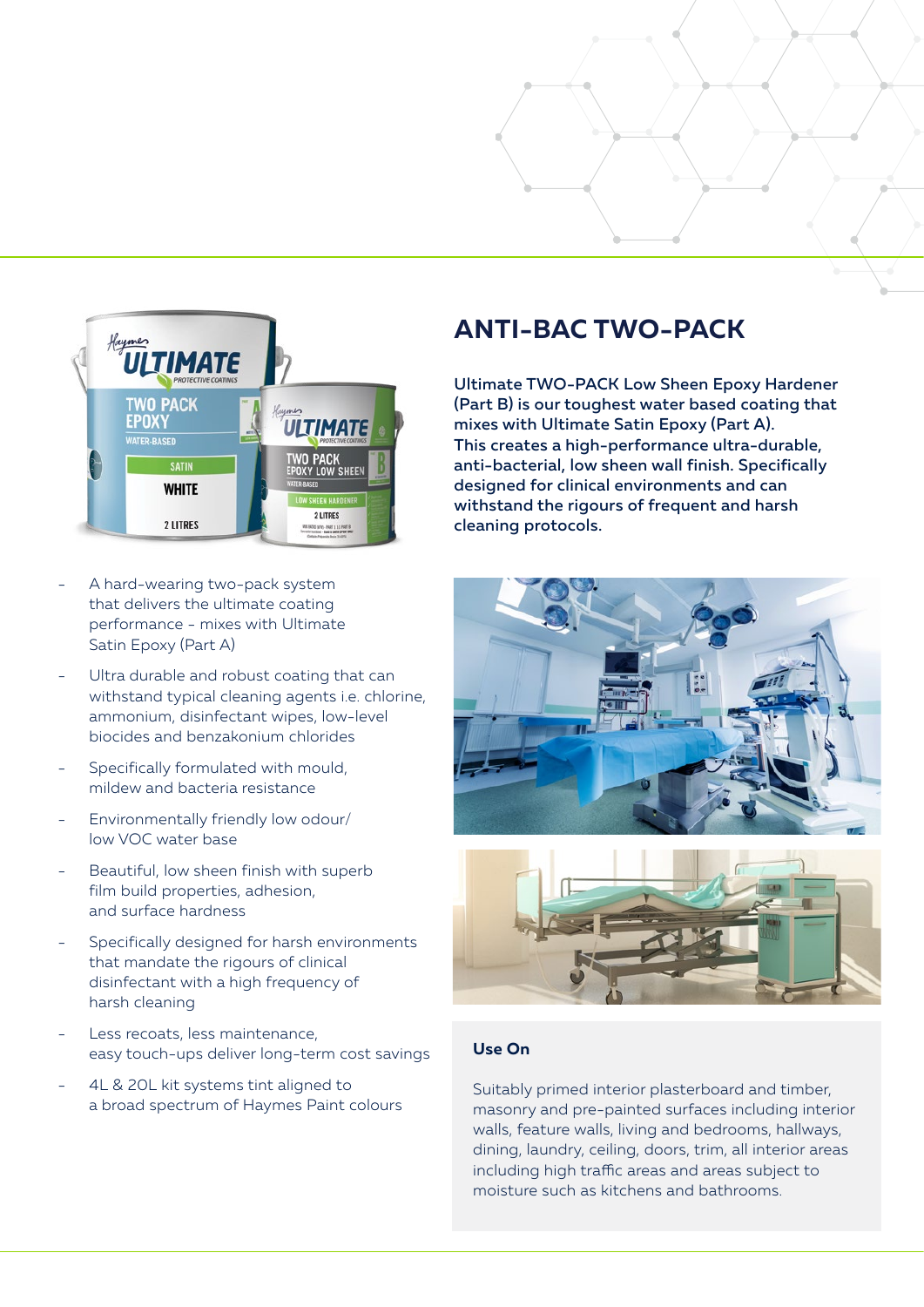

- A hard-wearing two-pack system that delivers the ultimate coating performance - mixes with Ultimate Satin Epoxy (Part A)
- Ultra durable and robust coating that can withstand typical cleaning agents i.e. chlorine, ammonium, disinfectant wipes, low-level biocides and benzakonium chlorides
- Specifically formulated with mould, mildew and bacteria resistance
- Environmentally friendly low odour/ low VOC water base
- Beautiful, low sheen finish with superb film build properties, adhesion, and surface hardness
- Specifically designed for harsh environments that mandate the rigours of clinical disinfectant with a high frequency of harsh cleaning
- Less recoats, less maintenance, easy touch-ups deliver long-term cost savings
- 4L & 20L kit systems tint aligned to a broad spectrum of Haymes Paint colours

## **ANTI-BAC TWO-PACK**

Ultimate TWO-PACK Low Sheen Epoxy Hardener (Part B) is our toughest water based coating that mixes with Ultimate Satin Epoxy (Part A). This creates a high-performance ultra-durable, anti-bacterial, low sheen wall finish. Specifically designed for clinical environments and can withstand the rigours of frequent and harsh cleaning protocols.





#### **Use On**

Suitably primed interior plasterboard and timber, masonry and pre-painted surfaces including interior walls, feature walls, living and bedrooms, hallways, dining, laundry, ceiling, doors, trim, all interior areas including high traffic areas and areas subject to moisture such as kitchens and bathrooms.